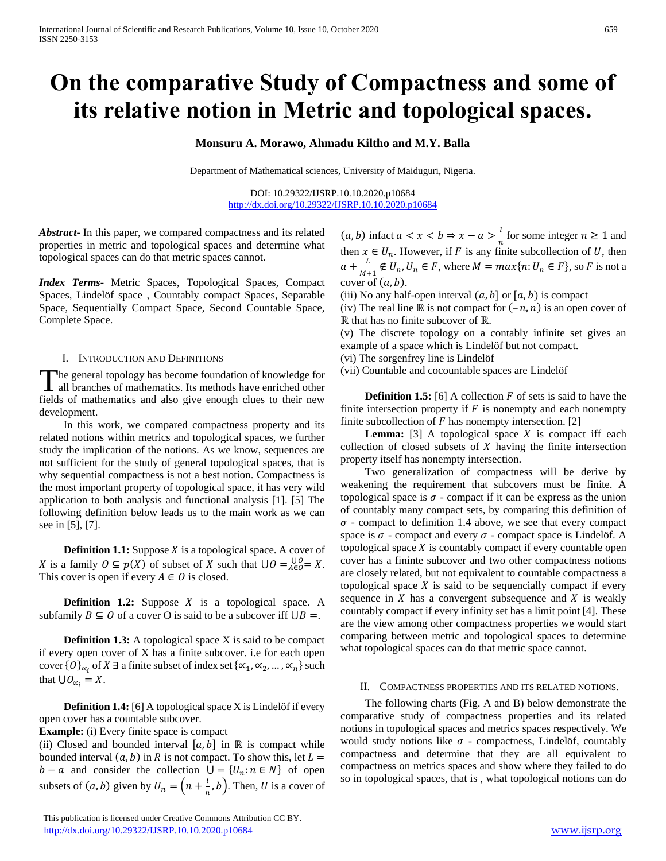# **On the comparative Study of Compactness and some of its relative notion in Metric and topological spaces.**

## **Monsuru A. Morawo, Ahmadu Kiltho and M.Y. Balla**

Department of Mathematical sciences, University of Maiduguri, Nigeria.

DOI: 10.29322/IJSRP.10.10.2020.p10684 <http://dx.doi.org/10.29322/IJSRP.10.10.2020.p10684>

*Abstract***-** In this paper, we compared compactness and its related properties in metric and topological spaces and determine what topological spaces can do that metric spaces cannot.

*Index Terms*- Metric Spaces, Topological Spaces, Compact Spaces, Lindelöf space , Countably compact Spaces, Separable Space, Sequentially Compact Space, Second Countable Space, Complete Space.

#### I. INTRODUCTION AND DEFINITIONS

The general topology has become foundation of knowledge for The general topology has become foundation of knowledge for all branches of mathematics. Its methods have enriched other fields of mathematics and also give enough clues to their new development.

 In this work, we compared compactness property and its related notions within metrics and topological spaces, we further study the implication of the notions. As we know, sequences are not sufficient for the study of general topological spaces, that is why sequential compactness is not a best notion. Compactness is the most important property of topological space, it has very wild application to both analysis and functional analysis [1]. [5] The following definition below leads us to the main work as we can see in [5], [7].

**Definition 1.1:** Suppose  $X$  is a topological space. A cover of X is a family  $0 \subseteq p(X)$  of subset of X such that  $\bigcup_{n=0}^{\infty} Q = X$ . This cover is open if every  $A \in O$  is closed.

**Definition 1.2:** Suppose  $X$  is a topological space. A subfamily  $B \subseteq O$  of a cover O is said to be a subcover iff  $\bigcup B =$ .

**Definition 1.3:** A topological space X is said to be compact if every open cover of X has a finite subcover. i.e for each open cover { $O_{\alpha_i}$  of  $X \exists$  a finite subset of index set { $\alpha_1, \alpha_2, ..., \alpha_n$ } such that  $\bigcup O_{\alpha_i} = X$ .

 **Definition 1.4:** [6] A topological space X is Lindelöf if every open cover has a countable subcover.

**Example:** (i) Every finite space is compact

(ii) Closed and bounded interval  $[a, b]$  in ℝ is compact while bounded interval  $(a, b)$  in R is not compact. To show this, let  $L =$  $b - a$  and consider the collection  $\bigcup = \{U_n : n \in N\}$  of open subsets of  $(a, b)$  given by  $U_n = \left( n + \frac{l}{n} \right)$  $\frac{1}{n}$ , *b*). Then, *U* is a cover of

 This publication is licensed under Creative Commons Attribution CC BY. <http://dx.doi.org/10.29322/IJSRP.10.10.2020.p10684> [www.ijsrp.org](http://ijsrp.org/)

 $(a, b)$  infact  $a < x < b \Rightarrow x - a > \frac{b}{a}$  $\frac{1}{n}$  for some integer  $n \ge 1$  and then  $x \in U_n$ . However, if F is any finite subcollection of U, then  $a+\frac{L}{\sqrt{2}}$  $\frac{L}{M+1} \notin U_n, U_n \in F$ , where  $M = max\{n: U_n \in F\}$ , so F is not a cover of  $(a, b)$ .

(iii) No any half-open interval  $(a, b]$  or  $[a, b)$  is compact

(iv) The real line ℝ is not compact for  $(-n, n)$  is an open cover of ℝ that has no finite subcover of ℝ.

(v) The discrete topology on a contably infinite set gives an example of a space which is Lindelöf but not compact.

(vi) The sorgenfrey line is Lindelöf

(vii) Countable and cocountable spaces are Lindelöf

**Definition 1.5:** [6] A collection  $F$  of sets is said to have the finite intersection property if  $F$  is nonempty and each nonempty finite subcollection of  $F$  has nonempty intersection. [2]

**Lemma:**  $[3]$  A topological space  $X$  is compact iff each collection of closed subsets of  $X$  having the finite intersection property itself has nonempty intersection.

 Two generalization of compactness will be derive by weakening the requirement that subcovers must be finite. A topological space is  $\sigma$  - compact if it can be express as the union of countably many compact sets, by comparing this definition of  $\sigma$  - compact to definition 1.4 above, we see that every compact space is  $\sigma$  - compact and every  $\sigma$  - compact space is Lindelöf. A topological space  $X$  is countably compact if every countable open cover has a fininte subcover and two other compactness notions are closely related, but not equivalent to countable compactness a topological space  $X$  is said to be sequencially compact if every sequence in  $X$  has a convergent subsequence and  $X$  is weakly countably compact if every infinity set has a limit point [4]. These are the view among other compactness properties we would start comparing between metric and topological spaces to determine what topological spaces can do that metric space cannot.

### II. COMPACTNESS PROPERTIES AND ITS RELATED NOTIONS.

 The following charts (Fig. A and B) below demonstrate the comparative study of compactness properties and its related notions in topological spaces and metrics spaces respectively. We would study notions like  $\sigma$  - compactness, Lindelöf, countably compactness and determine that they are all equivalent to compactness on metrics spaces and show where they failed to do so in topological spaces, that is , what topological notions can do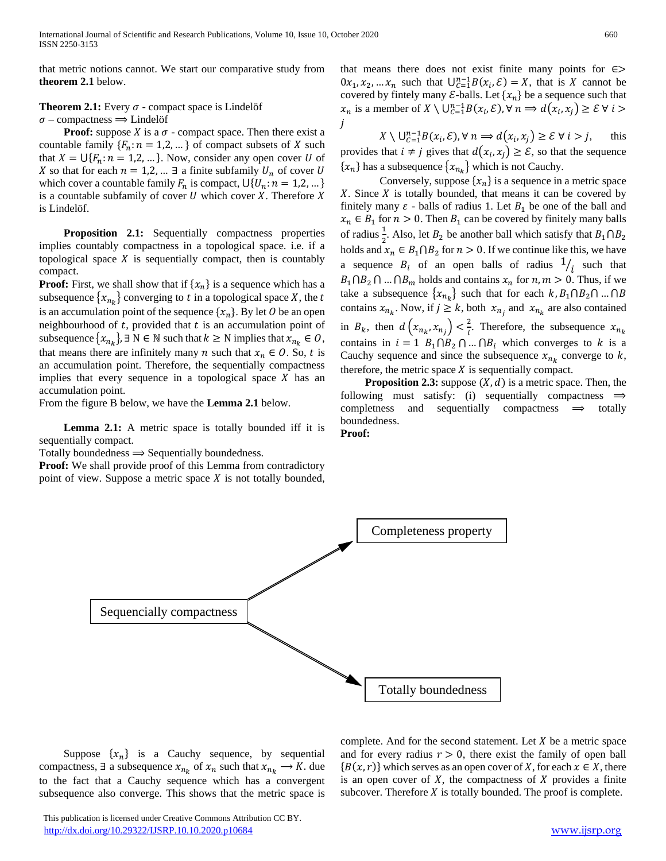that metric notions cannot. We start our comparative study from **theorem 2.1** below.

**Theorem 2.1:** Every  $\sigma$  - compact space is Lindelöf

 $\sigma$  – compactness  $\Rightarrow$  Lindelöf

**Proof:** suppose *X* is a  $\sigma$  - compact space. Then there exist a countable family  $\{F_n: n = 1, 2, ...\}$  of compact subsets of X such that  $X = \bigcup \{F_n : n = 1, 2, \dots\}$ . Now, consider any open cover U of X so that for each  $n = 1, 2, ...$  ∃ a finite subfamily  $U_n$  of cover U which cover a countable family  $F_n$  is compact,  $\bigcup \{U_n : n = 1, 2, ...\}$ is a countable subfamily of cover  $U$  which cover  $X$ . Therefore  $X$ is Lindelöf.

 **Proposition 2.1:** Sequentially compactness properties implies countably compactness in a topological space. i.e. if a topological space  $X$  is sequentially compact, then is countably compact.

**Proof:** First, we shall show that if  $\{x_n\}$  is a sequence which has a subsequence  $\{x_{n_k}\}$  converging to  $t$  in a topological space  $X$ , the  $t$ is an accumulation point of the sequence  $\{x_n\}$ . By let O be an open neighbourhood of  $t$ , provided that  $t$  is an accumulation point of subsequence  $\{x_{n_k}\}\}\ \exists \ N \in \mathbb{N}$  such that  $k \geq N$  implies that  $x_{n_k} \in O$ , that means there are infinitely many *n* such that  $x_n \in O$ . So, *t* is an accumulation point. Therefore, the sequentially compactness implies that every sequence in a topological space  $X$  has an accumulation point.

From the figure B below, we have the **Lemma 2.1** below.

 **Lemma 2.1:** A metric space is totally bounded iff it is sequentially compact.

Totally boundedness  $\Rightarrow$  Sequentially boundedness.

**Proof:** We shall provide proof of this Lemma from contradictory point of view. Suppose a metric space  $X$  is not totally bounded, that means there does not exist finite many points for  $\epsilon$ >  $0x_1, x_2, ... x_n$  such that  $\bigcup_{c=1}^{n-1} B(x_i, \mathcal{E}) = X$ , that is X cannot be covered by fintely many  $\mathcal{E}$ -balls. Let  $\{x_n\}$  be a sequence such that  $x_n$  is a member of  $X \setminus \bigcup_{\mathcal{C}=1}^{n-1} B(x_i, \mathcal{E}), \forall n \Rightarrow d(x_i, x_j) \geq \mathcal{E} \forall i > j$ i

 $X \setminus \bigcup_{c=1}^{n-1} B(x_i, \mathcal{E}), \forall n \Longrightarrow d(x_i, x_j) \geq \mathcal{E} \forall i > j,$  this provides that  $i \neq j$  gives that  $d(x_i, x_j) \geq \mathcal{E}$ , so that the sequence  $\{x_n\}$  has a subsequence  $\{x_{n_k}\}$  which is not Cauchy.

Conversely, suppose  $\{x_n\}$  is a sequence in a metric space  $X$ . Since  $X$  is totally bounded, that means it can be covered by finitely many  $\varepsilon$  - balls of radius 1. Let  $B_1$  be one of the ball and  $x_n \in B_1$  for  $n > 0$ . Then  $B_1$  can be covered by finitely many balls of radius  $\frac{1}{2}$ . Also, let  $B_2$  be another ball which satisfy that  $B_1 \cap B_2$ holds and  $x_n \in B_1 \cap B_2$  for  $n > 0$ . If we continue like this, we have a sequence  $B_i$  of an open balls of radius  $\frac{1}{i}$  such that  $B_1 \cap B_2 \cap ... \cap B_m$  holds and contains  $x_n$  for  $n, m > 0$ . Thus, if we take a subsequence  $\{x_{n_k}\}$  such that for each  $k, B_1 \cap B_2 \cap ... \cap B_n$ contains  $x_{n_k}$ . Now, if  $j \geq k$ , both  $x_{n_j}$  and  $x_{n_k}$  are also contained in  $B_k$ , then  $d\left(x_{n_k}, x_{n_j}\right) < \frac{2}{i}$  $\frac{2}{i}$ . Therefore, the subsequence  $x_{n_k}$ contains in  $i = 1$   $B_1 \cap B_2 \cap ... \cap B_i$  which converges to k is a Cauchy sequence and since the subsequence  $x_{n_k}$  converge to  $k$ , therefore, the metric space  $X$  is sequentially compact.

**Proposition 2.3:** suppose  $(X, d)$  is a metric space. Then, the following must satisfy: (i) sequentially compactness  $\Rightarrow$  $completeness$  and sequentially compactness  $\implies$  totally boundedness.

**Proof:** 



Suppose  $\{x_n\}$  is a Cauchy sequence, by sequential compactness,  $\exists$  a subsequence  $x_{n_k}$  of  $x_n$  such that  $x_{n_k} \rightarrow K$ . due to the fact that a Cauchy sequence which has a convergent subsequence also converge. This shows that the metric space is

complete. And for the second statement. Let  $X$  be a metric space and for every radius  $r > 0$ , there exist the family of open ball  ${B(x, r)}$  which serves as an open cover of X, for each  $x \in X$ , there is an open cover of  $X$ , the compactness of  $X$  provides a finite subcover. Therefore  $X$  is totally bounded. The proof is complete.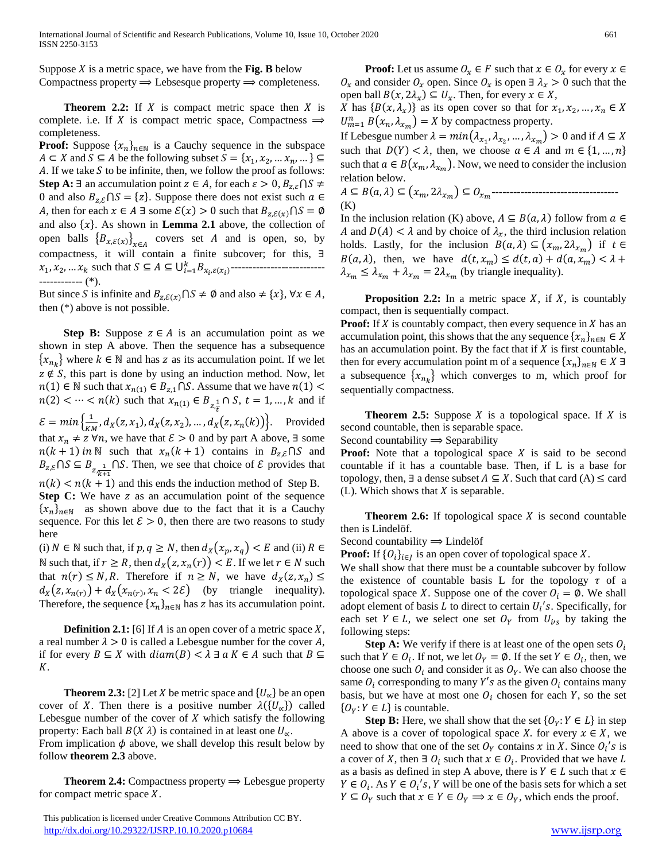Suppose  $X$  is a metric space, we have from the **Fig. B** below Compactness property  $\Rightarrow$  Lebsesque property  $\Rightarrow$  completeness.

**Theorem 2.2:** If  $X$  is compact metric space then  $X$  is complete. i.e. If X is compact metric space, Compactness  $\Rightarrow$ completeness.

**Proof:** Suppose  $\{x_n\}_{n\in\mathbb{N}}$  is a Cauchy sequence in the subspace  $A \subset X$  and  $S \subseteq A$  be the following subset  $S = \{x_1, x_2, ..., x_n, ...\} \subseteq$ A. If we take  $S$  to be infinite, then, we follow the proof as follows: **Step A:** ∃ an accumulation point  $z \in A$ , for each  $\varepsilon > 0$ ,  $B_{z,\varepsilon} \cap S \neq \emptyset$ 0 and also  $B_{z,\mathcal{E}} \cap S = \{z\}$ . Suppose there does not exist such  $\alpha \in \mathcal{E}$ A, then for each  $x \in A \exists$  some  $\mathcal{E}(x) > 0$  such that  $B_{z,\mathcal{E}(x)} \cap S = \emptyset$ and also  $\{x\}$ . As shown in **Lemma 2.1** above, the collection of open balls  ${B_{x,\mathcal{E}(x)}}_{x \in A}$  covers set A and is open, so, by compactness, it will contain a finite subcover; for this, ∃ 1 , <sup>2</sup> , … such that ⊆ ⊆ ⋃=1 ,( ) -------------------------- ------------ (\*).

But since S is infinite and  $B_{z,\mathcal{E}(x)} \cap S \neq \emptyset$  and also  $\neq \{x\}, \forall x \in A$ , then (\*) above is not possible.

**Step B:** Suppose  $z \in A$  is an accumulation point as we shown in step A above. Then the sequence has a subsequence  ${x_{n_k}}$  where  $k \in \mathbb{N}$  and has z as its accumulation point. If we let  $z \notin S$ , this part is done by using an induction method. Now, let  $n(1) \in \mathbb{N}$  such that  $x_{n(1)} \in B_{z,1} \cap S$ . Assume that we have  $n(1) <$  $n(2) < \dots < n(k)$  such that  $x_{n(1)} \in B_{z,\frac{1}{t}} \cap S$ ,  $t = 1, ..., k$  and if  $\mathcal{E} = min \left\{ \frac{1}{m} \right\}$  $\frac{1}{KM}$ ,  $d_X(z, x_1)$ ,  $d_X(z, x_2)$ , ...,  $d_X(z, x_n(k))$ . Provided that  $x_n \neq z \,\forall n$ , we have that  $\mathcal{E} > 0$  and by part A above,  $\exists$  some  $n(k + 1)$  in N such that  $x_n(k + 1)$  contains in  $B_{z,\varepsilon} \cap S$  and  $B_{z,\xi} \cap S \subseteq B_{z,\frac{1}{k+1}} \cap S$ . Then, we see that choice of  $\mathcal E$  provides that  $n(k) < n(k + 1)$  and this ends the induction method of Step B. **Step C:** We have z as an accumulation point of the sequence  ${x_n}_{n \in \mathbb{N}}$  as shown above due to the fact that it is a Cauchy sequence. For this let  $\mathcal{E} > 0$ , then there are two reasons to study here

(i)  $N \in \mathbb{N}$  such that, if  $p, q \ge N$ , then  $d_X(x_p, x_q) < E$  and (ii)  $R \in$ N such that, if  $r \geq R$ , then  $d_X(z, x_n(r)) < E$ . If we let  $r \in N$  such that  $n(r) \le N$ , R. Therefore if  $n \ge N$ , we have  $d_X(z, x_n) \le$  $d_X(z, x_{n(r)}) + d_X(x_{n(r)}, x_n < 2\mathcal{E})$  (by triangle inequality). Therefore, the sequence  $\{x_n\}_{n\in\mathbb{N}}$  has z has its accumulation point.

**Definition 2.1:** [6] If  $A$  is an open cover of a metric space  $X$ , a real number  $\lambda > 0$  is called a Lebesgue number for the cover A, if for every  $B \subseteq X$  with  $diam(B) < \lambda \exists \alpha K \in A$  such that  $B \subseteq$ K.

**Theorem 2.3:** [2] Let *X* be metric space and  $\{U_{\alpha}\}\$ be an open cover of X. Then there is a positive number  $\lambda({U_{\alpha}})$  called Lebesgue number of the cover of  $X$  which satisfy the following property: Each ball  $B(X \lambda)$  is contained in at least one  $U_{\alpha}$ . From implication  $\phi$  above, we shall develop this result below by

follow **theorem 2.3** above.

**Theorem 2.4:** Compactness property  $\Rightarrow$  Lebesgue property for compact metric space  $X$ .

 This publication is licensed under Creative Commons Attribution CC BY. <http://dx.doi.org/10.29322/IJSRP.10.10.2020.p10684> [www.ijsrp.org](http://ijsrp.org/)

**Proof:** Let us assume  $O_x \in F$  such that  $x \in O_x$  for every  $x \in F$  $O_x$  and consider  $O_x$  open. Since  $O_x$  is open  $\exists \lambda_x > 0$  such that the open ball  $B(x, 2\lambda_x) \subseteq U_x$ . Then, for every  $x \in X$ ,

X has  $\{B(x, \lambda_x)\}\$ as its open cover so that for  $x_1, x_2, ..., x_n \in X$  $U_{m=1}^n B(x_n, \lambda_{x_m}) = X$  by compactness property.

If Lebesgue number  $\lambda = min(\lambda_{x_1}, \lambda_{x_2}, ..., \lambda_{x_m}) > 0$  and if  $A \subseteq X$ such that  $D(Y) < \lambda$ , then, we choose  $a \in A$  and  $m \in \{1, ..., n\}$ such that  $a \in B(x_m, \lambda_{x_m})$ . Now, we need to consider the inclusion relation below.

 ⊆ (, ) ⊆ (, 2 ) ⊆ ----------------------------------- (K)

In the inclusion relation (K) above,  $A \subseteq B(a, \lambda)$  follow from  $a \in$ A and  $D(A) < \lambda$  and by choice of  $\lambda_x$ , the third inclusion relation holds. Lastly, for the inclusion  $B(a, \lambda) \subseteq (x_m, 2\lambda_{m})$  if  $t \in$  $B(a, \lambda)$ , then, we have  $d(t, x_m) \leq d(t, a) + d(a, x_m) < \lambda +$  $\lambda_{x_m} \leq \lambda_{x_m} + \lambda_{x_m} = 2\lambda_{x_m}$  (by triangle inequality).

**Proposition 2.2:** In a metric space  $X$ , if  $X$ , is countably compact, then is sequentially compact.

**Proof:** If X is countably compact, then every sequence in X has an accumulation point, this shows that the any sequence  $\{x_n\}_{n\in\mathbb{N}}\in X$ has an accumulation point. By the fact that if  $X$  is first countable, then for every accumulation point m of a sequence  $\{x_n\}_{n\in\mathbb{N}}\in X$  ∃ a subsequence  $\{x_{n_k}\}\$  which converges to m, which proof for sequentially compactness.

**Theorem 2.5:** Suppose  $X$  is a topological space. If  $X$  is second countable, then is separable space.

Second countability  $\Rightarrow$  Separability

**Proof:** Note that a topological space X is said to be second countable if it has a countable base. Then, if L is a base for topology, then,  $\exists$  a dense subset  $A \subseteq X$ . Such that card  $(A) \leq$  card  $(L)$ . Which shows that X is separable.

**Theorem 2.6:** If topological space  $X$  is second countable then is Lindelöf.

Second countability 
$$
\implies
$$
 Lindelöf

**Proof:** If  $\{O_i\}_{i \in J}$  is an open cover of topological space X.

We shall show that there must be a countable subcover by follow the existence of countable basis L for the topology  $\tau$  of a topological space X. Suppose one of the cover  $O_i = \emptyset$ . We shall adopt element of basis  $L$  to direct to certain  $U_i$ 's. Specifically, for each set  $Y \in L$ , we select one set  $O_Y$  from  $U_{i/s}$  by taking the following steps:

**Step A:** We verify if there is at least one of the open sets  $O_i$ such that  $Y \in O_i$ . If not, we let  $O_Y = \emptyset$ . If the set  $Y \in O_i$ , then, we choose one such  $O_i$  and consider it as  $O_Y$ . We can also choose the same  $O_i$  corresponding to many Y's as the given  $O_i$  contains many basis, but we have at most one  $O_i$  chosen for each Y, so the set  $\{O_Y: Y \in L\}$  is countable.

**Step B:** Here, we shall show that the set  $\{O_Y: Y \in L\}$  in step A above is a cover of topological space X. for every  $x \in X$ , we need to show that one of the set  $O<sub>Y</sub>$  contains x in X. Since  $O<sub>i</sub>'s$  is a cover of X, then  $\exists O_i$  such that  $x \in O_i$ . Provided that we have L as a basis as defined in step A above, there is  $Y \in L$  such that  $x \in$  $Y \in O_i$ . As  $Y \in O_i's$ , Y will be one of the basis sets for which a set  $Y \subseteq O_Y$  such that  $x \in Y \in O_Y \implies x \in O_Y$ , which ends the proof.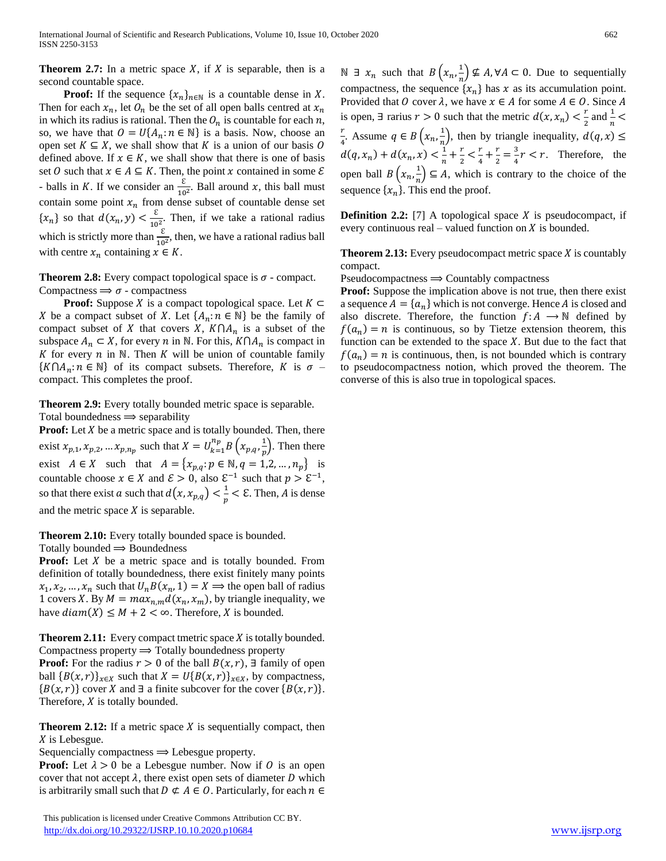**Theorem 2.7:** In a metric space X, if X is separable, then is a second countable space.

**Proof:** If the sequence  $\{x_n\}_{n\in\mathbb{N}}$  is a countable dense in X. Then for each  $x_n$ , let  $\mathcal{O}_n$  be the set of all open balls centred at  $x_n$ in which its radius is rational. Then the  $O_n$  is countable for each n, so, we have that  $O = U\{A_n : n \in \mathbb{N}\}\$ is a basis. Now, choose an open set  $K \subseteq X$ , we shall show that K is a union of our basis O defined above. If  $x \in K$ , we shall show that there is one of basis set 0 such that  $x \in A \subseteq K$ . Then, the point x contained in some  $\mathcal E$ - balls in K. If we consider an  $\frac{\varepsilon}{10^2}$ . Ball around x, this ball must contain some point  $x_n$  from dense subset of countable dense set  $\{x_n\}$  so that  $d(x_n, y) < \frac{\varepsilon}{10}$  $\frac{c}{10^2}$ . Then, if we take a rational radius which is strictly more than  $\frac{\varepsilon}{10^2}$ , then, we have a rational radius ball with centre  $x_n$  containing  $x \in K$ .

**Theorem 2.8:** Every compact topological space is  $\sigma$  - compact. Compactness  $\Rightarrow$   $\sigma$  - compactness

**Proof:** Suppose *X* is a compact topological space. Let  $K \subset \mathbb{C}$ X be a compact subset of X. Let  $\{A_n : n \in \mathbb{N}\}\)$  be the family of compact subset of X that covers X,  $K \cap A_n$  is a subset of the subspace  $A_n \subset X$ , for every *n* in N. For this,  $K \cap A_n$  is compact in K for every  $n$  in N. Then K will be union of countable family  $\{K \cap A_n : n \in \mathbb{N}\}\$  of its compact subsets. Therefore, K is  $\sigma$  – compact. This completes the proof.

**Theorem 2.9:** Every totally bounded metric space is separable. Total boundedness  $\Rightarrow$  separability

**Proof:** Let *X* be a metric space and is totally bounded. Then, there exist  $x_{p,1}, x_{p,2}, \dots x_{p,n_p}$  such that  $X = U_{k=1}^{n_p} B\left(x_{p,q}, \frac{1}{p}\right)$  $\frac{1}{p}$ ). Then there exist  $A \in X$  such that  $A = \{x_{p,q}: p \in \mathbb{N}, q = 1, 2, ..., n_p\}$  is countable choose  $x \in X$  and  $\mathcal{E} > 0$ , also  $\mathcal{E}^{-1}$  such that  $p > \mathcal{E}^{-1}$ , so that there exist a such that  $d(x, x_{p,q}) < \frac{1}{n}$  $\frac{1}{p}$  < E. Then, A is dense and the metric space  $X$  is separable.

**Theorem 2.10:** Every totally bounded space is bounded.

Totally bounded  $\Rightarrow$  Boundedness

**Proof:** Let X be a metric space and is totally bounded. From definition of totally boundedness, there exist finitely many points  $x_1, x_2, ..., x_n$  such that  $U_n B(x_n, 1) = X \implies$  the open ball of radius 1 covers X. By  $M = max_{n,m} d(x_n, x_m)$ , by triangle inequality, we have  $diam(X) \leq M + 2 < \infty$ . Therefore, X is bounded.

**Theorem 2.11:** Every compact tmetric space *X* is totally bounded. Compactness property  $\Rightarrow$  Totally boundedness property

**Proof:** For the radius  $r > 0$  of the ball  $B(x, r)$ ,  $\exists$  family of open ball  ${B(x,r)}_{x \in X}$  such that  $X = U{B(x,r)}_{x \in X}$ , by compactness,  ${B(x,r)}$  cover X and ∃ a finite subcover for the cover  ${B(x,r)}$ . Therefore,  $X$  is totally bounded.

**Theorem 2.12:** If a metric space  $X$  is sequentially compact, then  $X$  is Lebesgue.

Sequencially compactness  $\Rightarrow$  Lebesgue property.

**Proof:** Let  $\lambda > 0$  be a Lebesgue number. Now if O is an open cover that not accept  $\lambda$ , there exist open sets of diameter D which is arbitrarily small such that  $D \not\subset A \in O$ . Particularly, for each  $n \in$ 

 This publication is licensed under Creative Commons Attribution CC BY. <http://dx.doi.org/10.29322/IJSRP.10.10.2020.p10684> [www.ijsrp.org](http://ijsrp.org/)

N ∃  $x_n$  such that  $B\left(x_n, \frac{1}{n}\right)$  $\frac{1}{n}$ )  $\nsubseteq A$ ,  $\forall A \subseteq 0$ . Due to sequentially compactness, the sequence  $\{x_n\}$  has x as its accumulation point. Provided that 0 cover  $\lambda$ , we have  $x \in A$  for some  $A \in O$ . Since A is open,  $\exists$  rarius  $r > 0$  such that the metric  $d(x, x_n) < \frac{r}{2}$  $\frac{r}{2}$  and  $\frac{1}{n}$  < r  $\frac{r}{4}$ . Assume  $q \in B\left(x_n, \frac{1}{n}\right)$  $\frac{1}{n}$ , then by triangle inequality,  $d(q, x) \le$  $d(q, x_n) + d(x_n, x) < \frac{1}{n}$  $\frac{1}{n}+\frac{r}{2}$  $rac{r}{2} < \frac{r}{4}$  $\frac{r}{4} + \frac{r}{2}$  $\frac{r}{2} = \frac{3}{4}$  $\frac{3}{4}r < r$ . Therefore, the open ball  $B\left(x_n, \frac{1}{n}\right)$  $\frac{1}{n}$   $\subseteq$  A, which is contrary to the choice of the sequence  $\{x_n\}$ . This end the proof.

**Definition 2.2:** [7] A topological space  $X$  is pseudocompact, if every continuous real – valued function on  $X$  is bounded.

**Theorem 2.13:** Every pseudocompact metric space  $X$  is countably compact.

 $Pseudocompactness \implies Countably compactness$ 

Proof: Suppose the implication above is not true, then there exist a sequence  $A = \{a_n\}$  which is not converge. Hence A is closed and also discrete. Therefore, the function  $f: A \longrightarrow \mathbb{N}$  defined by  $f(a_n) = n$  is continuous, so by Tietze extension theorem, this function can be extended to the space  $X$ . But due to the fact that  $f(a_n) = n$  is continuous, then, is not bounded which is contrary to pseudocompactness notion, which proved the theorem. The converse of this is also true in topological spaces.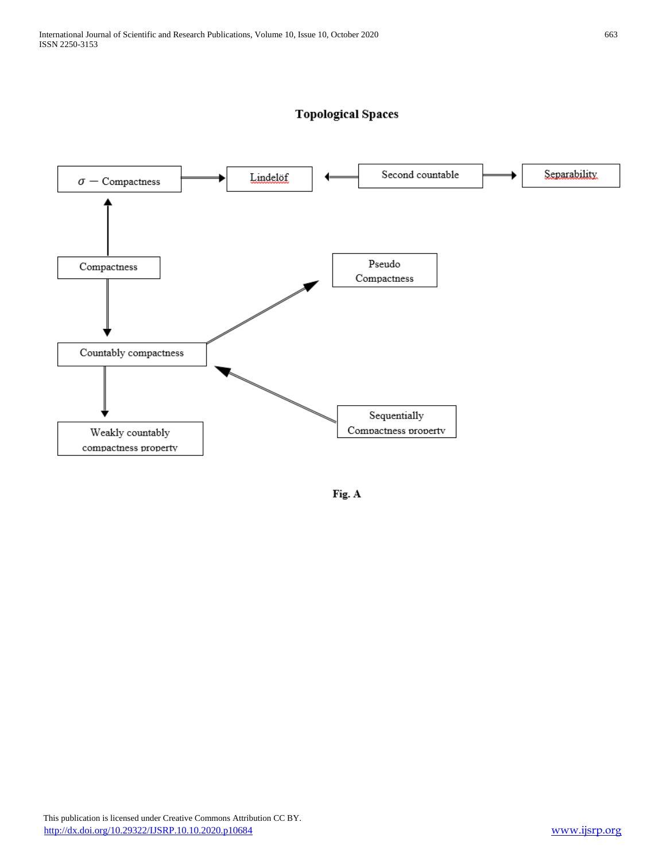

# **Topological Spaces**

Fig. A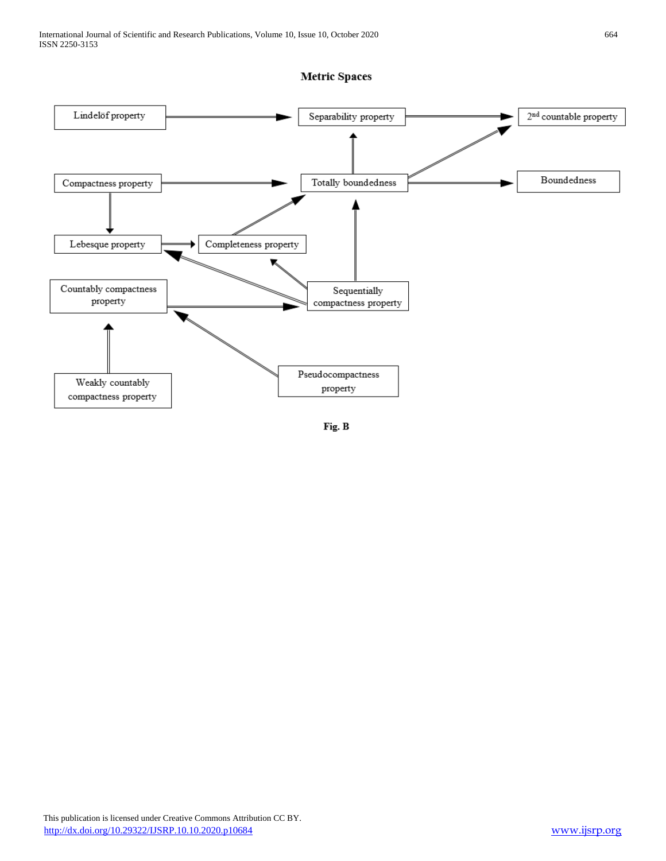# **Metric Spaces**



Fig. B